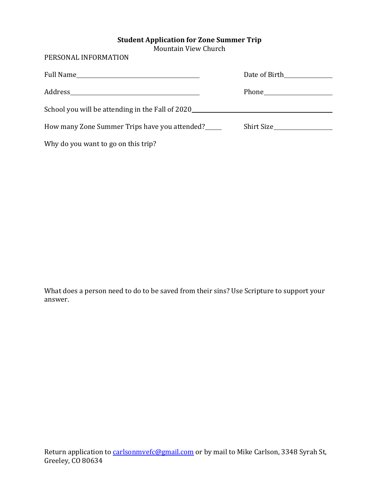## **Student Application for Zone Summer Trip**

Mountain View Church

PERSONAL INFORMATION

| School you will be attending in the Fall of 2020 |            |
|--------------------------------------------------|------------|
| How many Zone Summer Trips have you attended?    | Shirt Size |
| Why do you want to go on this trip?              |            |

What does a person need to do to be saved from their sins? Use Scripture to support your answer.